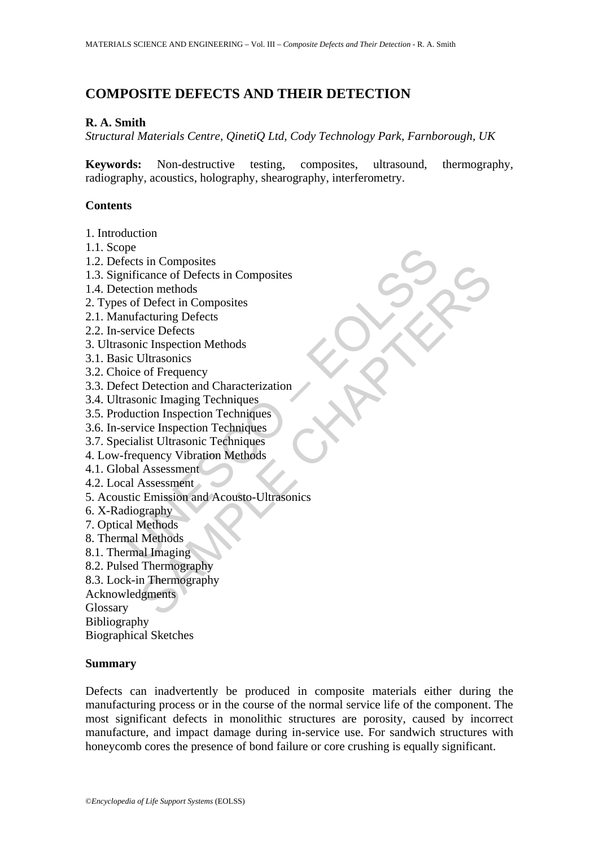# **COMPOSITE DEFECTS AND THEIR DETECTION**

#### **R. A. Smith**

*Structural Materials Centre, QinetiQ Ltd, Cody Technology Park, Farnborough, UK* 

**Keywords:** Non-destructive testing, composites, ultrasound, thermography, radiography, acoustics, holography, shearography, interferometry.

#### **Contents**

- 1. Introduction
- 1.1. Scope
- 1.2. Defects in Composites
- 1.3. Significance of Defects in Composites
- 1.4. Detection methods
- 2. Types of Defect in Composites
- 2.1. Manufacturing Defects
- 2.2. In-service Defects
- 3. Ultrasonic Inspection Methods
- 3.1. Basic Ultrasonics
- 3.2. Choice of Frequency
- 3.3. Defect Detection and Characterization
- 3.4. Ultrasonic Imaging Techniques
- 3.5. Production Inspection Techniques
- 3.6. In-service Inspection Techniques
- 3.7. Specialist Ultrasonic Techniques
- 4. Low-frequency Vibration Methods
- 4.1. Global Assessment
- 4.2. Local Assessment
- pee<br>
fects in Composites<br>
inficance of Defects in Composites<br>
ection methods<br>
sof Defect in Composites<br>
nufacturing Defects<br>
nuracturing Defects<br>
is concerned because the perfect of Frequency<br>
discussion Methods<br>
soice of s in Composites<br>
cance of Defects in Composites<br>
cance of Defects in Composites<br>
acturing Defects<br>
ice Defects<br>
ice Defects<br>
ice Defects<br>
ice Defects<br>
control and Characterization<br>
Diluraonics<br>
of Frequency<br>
Detection and 5. Acoustic Emission and Acousto-Ultrasonics
- 6. X-Radiography
- 7. Optical Methods
- 8. Thermal Methods
- 8.1. Thermal Imaging
- 8.2. Pulsed Thermography
- 8.3. Lock-in Thermography
- Acknowledgments

Glossary

Bibliography

Biographical Sketches

#### **Summary**

Defects can inadvertently be produced in composite materials either during the manufacturing process or in the course of the normal service life of the component. The most significant defects in monolithic structures are porosity, caused by incorrect manufacture, and impact damage during in-service use. For sandwich structures with honeycomb cores the presence of bond failure or core crushing is equally significant.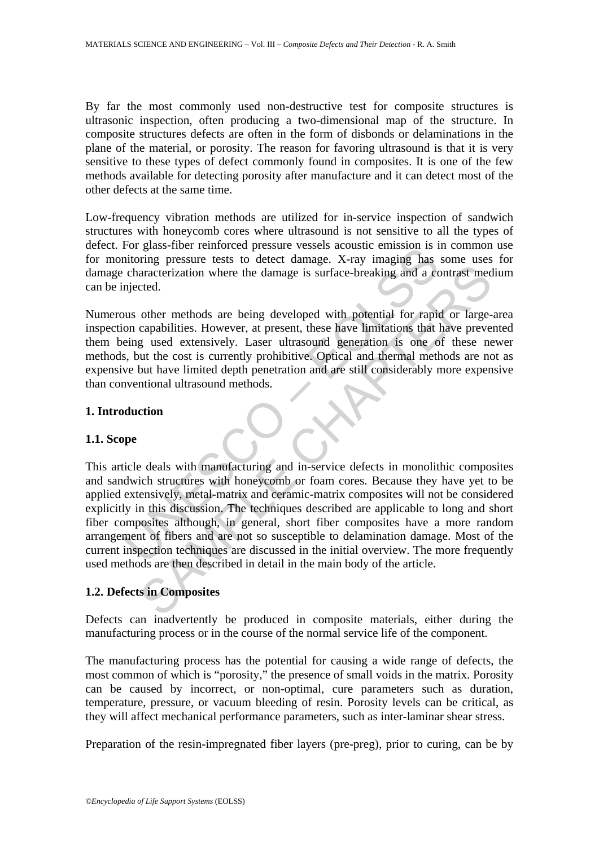By far the most commonly used non-destructive test for composite structures is ultrasonic inspection, often producing a two-dimensional map of the structure. In composite structures defects are often in the form of disbonds or delaminations in the plane of the material, or porosity. The reason for favoring ultrasound is that it is very sensitive to these types of defect commonly found in composites. It is one of the few methods available for detecting porosity after manufacture and it can detect most of the other defects at the same time.

Low-frequency vibration methods are utilized for in-service inspection of sandwich structures with honeycomb cores where ultrasound is not sensitive to all the types of defect. For glass-fiber reinforced pressure vessels acoustic emission is in common use for monitoring pressure tests to detect damage. X-ray imaging has some uses for damage characterization where the damage is surface-breaking and a contrast medium can be injected.

Numerous other methods are being developed with potential for rapid or large-area inspection capabilities. However, at present, these have limitations that have prevented them being used extensively. Laser ultrasound generation is one of these newer methods, but the cost is currently prohibitive. Optical and thermal methods are not as expensive but have limited depth penetration and are still considerably more expensive than conventional ultrasound methods.

## **1. Introduction**

#### **1.1. Scope**

To gass-interest to detect damage. X-ray imaging has<br>interest to detect damage. X-ray imaging has<br>characterization where the damage is surface-breaking and a co<br>on capabilities. However, at present, these have limitations anacterization where the damage is surface-breaking and a contrast med<br>
anacterization where the damage is surface-breaking and a contrast med<br>
cted.<br>
Other methods are being developed with potential for rapid or large-<br>
c This article deals with manufacturing and in-service defects in monolithic composites and sandwich structures with honeycomb or foam cores. Because they have yet to be applied extensively, metal-matrix and ceramic-matrix composites will not be considered explicitly in this discussion. The techniques described are applicable to long and short fiber composites although, in general, short fiber composites have a more random arrangement of fibers and are not so susceptible to delamination damage. Most of the current inspection techniques are discussed in the initial overview. The more frequently used methods are then described in detail in the main body of the article.

# **1.2. Defects in Composites**

Defects can inadvertently be produced in composite materials, either during the manufacturing process or in the course of the normal service life of the component.

The manufacturing process has the potential for causing a wide range of defects, the most common of which is "porosity," the presence of small voids in the matrix. Porosity can be caused by incorrect, or non-optimal, cure parameters such as duration, temperature, pressure, or vacuum bleeding of resin. Porosity levels can be critical, as they will affect mechanical performance parameters, such as inter-laminar shear stress.

Preparation of the resin-impregnated fiber layers (pre-preg), prior to curing, can be by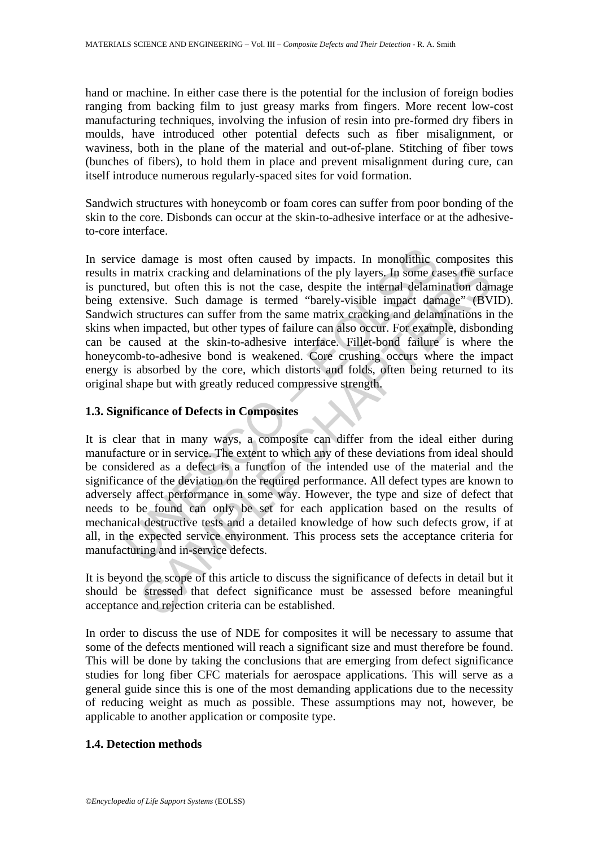hand or machine. In either case there is the potential for the inclusion of foreign bodies ranging from backing film to just greasy marks from fingers. More recent low-cost manufacturing techniques, involving the infusion of resin into pre-formed dry fibers in moulds, have introduced other potential defects such as fiber misalignment, or waviness, both in the plane of the material and out-of-plane. Stitching of fiber tows (bunches of fibers), to hold them in place and prevent misalignment during cure, can itself introduce numerous regularly-spaced sites for void formation.

Sandwich structures with honeycomb or foam cores can suffer from poor bonding of the skin to the core. Disbonds can occur at the skin-to-adhesive interface or at the adhesiveto-core interface.

ice damage is most often caused by impacts. In monolithic c<br>in matrix cracking and delaminations of the ply layers. In some catured, but often this is not the case, despite the internal delaminations.<br>Extensive. Such damag natrix cracking and delaminations of the ply layers. In some cases the sund, but often this is not the case, despite the internal delamination dan susce. Such damage is termed "barely-visible impact damage" (BV accurs sure In service damage is most often caused by impacts. In monolithic composites this results in matrix cracking and delaminations of the ply layers. In some cases the surface is punctured, but often this is not the case, despite the internal delamination damage being extensive. Such damage is termed "barely-visible impact damage" (BVID). Sandwich structures can suffer from the same matrix cracking and delaminations in the skins when impacted, but other types of failure can also occur. For example, disbonding can be caused at the skin-to-adhesive interface. Fillet-bond failure is where the honeycomb-to-adhesive bond is weakened. Core crushing occurs where the impact energy is absorbed by the core, which distorts and folds, often being returned to its original shape but with greatly reduced compressive strength.

## **1.3. Significance of Defects in Composites**

It is clear that in many ways, a composite can differ from the ideal either during manufacture or in service. The extent to which any of these deviations from ideal should be considered as a defect is a function of the intended use of the material and the significance of the deviation on the required performance. All defect types are known to adversely affect performance in some way. However, the type and size of defect that needs to be found can only be set for each application based on the results of mechanical destructive tests and a detailed knowledge of how such defects grow, if at all, in the expected service environment. This process sets the acceptance criteria for manufacturing and in-service defects.

It is beyond the scope of this article to discuss the significance of defects in detail but it should be stressed that defect significance must be assessed before meaningful acceptance and rejection criteria can be established.

In order to discuss the use of NDE for composites it will be necessary to assume that some of the defects mentioned will reach a significant size and must therefore be found. This will be done by taking the conclusions that are emerging from defect significance studies for long fiber CFC materials for aerospace applications. This will serve as a general guide since this is one of the most demanding applications due to the necessity of reducing weight as much as possible. These assumptions may not, however, be applicable to another application or composite type.

## **1.4. Detection methods**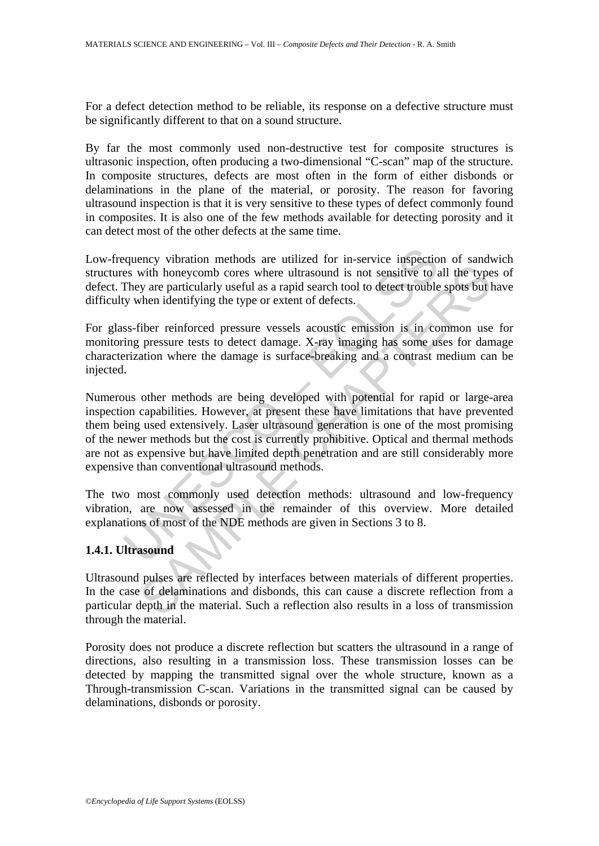For a defect detection method to be reliable, its response on a defective structure must be significantly different to that on a sound structure.

By far the most commonly used non-destructive test for composite structures is ultrasonic inspection, often producing a two-dimensional "C-scan" map of the structure. In composite structures, defects are most often in the form of either disbonds or delaminations in the plane of the material, or porosity. The reason for favoring ultrasound inspection is that it is very sensitive to these types of defect commonly found in composites. It is also one of the few methods available for detecting porosity and it can detect most of the other defects at the same time.

Low-frequency vibration methods are utilized for in-service inspection of sandwich structures with honeycomb cores where ultrasound is not sensitive to all the types of defect. They are particularly useful as a rapid search tool to detect trouble spots but have difficulty when identifying the type or extent of defects.

For glass-fiber reinforced pressure vessels acoustic emission is in common use for monitoring pressure tests to detect damage. X-ray imaging has some uses for damage characterization where the damage is surface-breaking and a contrast medium can be injected.

equency vibration methods are utilized for in-service inspections with honeycomb cores where ultrasound is not sensitive to  $i$  They are particularly useful as a rapid search tool to detect trouble by when identifying the with honeycomb cores where ultrasound is not sensitive to all the type<br>y are particularly useful as a rapid search tool to detect trouble spots but l<br>then identifying the type or extent of defects.<br>There reinforced pressur Numerous other methods are being developed with potential for rapid or large-area inspection capabilities. However, at present these have limitations that have prevented them being used extensively. Laser ultrasound generation is one of the most promising of the newer methods but the cost is currently prohibitive. Optical and thermal methods are not as expensive but have limited depth penetration and are still considerably more expensive than conventional ultrasound methods.

The two most commonly used detection methods: ultrasound and low-frequency vibration, are now assessed in the remainder of this overview. More detailed explanations of most of the NDE methods are given in Sections 3 to 8.

## **1.4.1. Ultrasound**

Ultrasound pulses are reflected by interfaces between materials of different properties. In the case of delaminations and disbonds, this can cause a discrete reflection from a particular depth in the material. Such a reflection also results in a loss of transmission through the material.

Porosity does not produce a discrete reflection but scatters the ultrasound in a range of directions, also resulting in a transmission loss. These transmission losses can be detected by mapping the transmitted signal over the whole structure, known as a Through-transmission C-scan. Variations in the transmitted signal can be caused by delaminations, disbonds or porosity.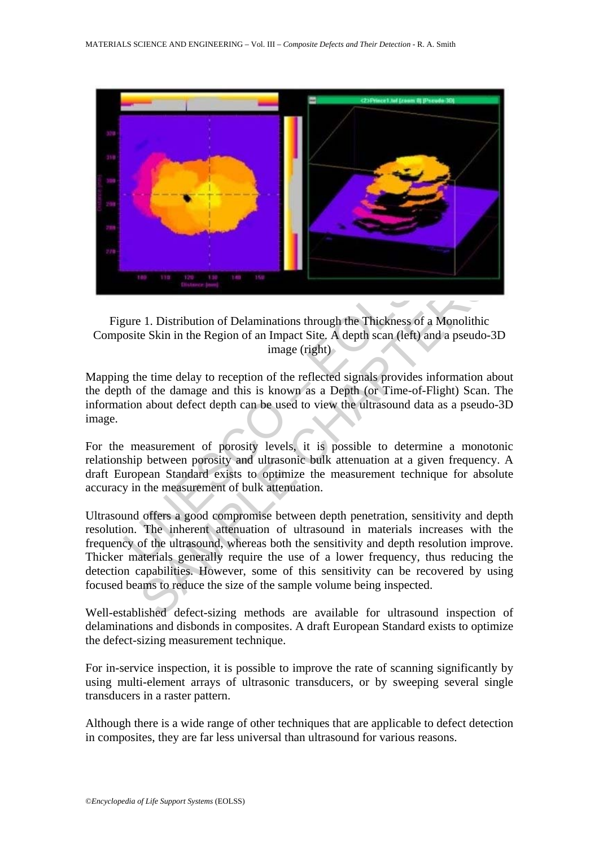

Figure 1. Distribution of Delaminations through the Thickness of a Monolithic Composite Skin in the Region of an Impact Site. A depth scan (left) and a pseudo-3D image (right)

Mapping the time delay to reception of the reflected signals provides information about the depth of the damage and this is known as a Depth (or Time-of-Flight) Scan. The information about defect depth can be used to view the ultrasound data as a pseudo-3D image.

For the measurement of porosity levels, it is possible to determine a monotonic relationship between porosity and ultrasonic bulk attenuation at a given frequency. A draft European Standard exists to optimize the measurement technique for absolute accuracy in the measurement of bulk attenuation.

1. Distribution of Delaminations through the Thickness of a Monolithic<br>te Skin in the Region of an Impact Site, A depth scan (left) and a pseudo--<br>image (right)<br>ne time delay to reception of the reflected signals provides Ultrasound offers a good compromise between depth penetration, sensitivity and depth resolution. The inherent attenuation of ultrasound in materials increases with the frequency of the ultrasound, whereas both the sensitivity and depth resolution improve. Thicker materials generally require the use of a lower frequency, thus reducing the detection capabilities. However, some of this sensitivity can be recovered by using focused beams to reduce the size of the sample volume being inspected.

Well-established defect-sizing methods are available for ultrasound inspection of delaminations and disbonds in composites. A draft European Standard exists to optimize the defect-sizing measurement technique.

For in-service inspection, it is possible to improve the rate of scanning significantly by using multi-element arrays of ultrasonic transducers, or by sweeping several single transducers in a raster pattern.

Although there is a wide range of other techniques that are applicable to defect detection in composites, they are far less universal than ultrasound for various reasons.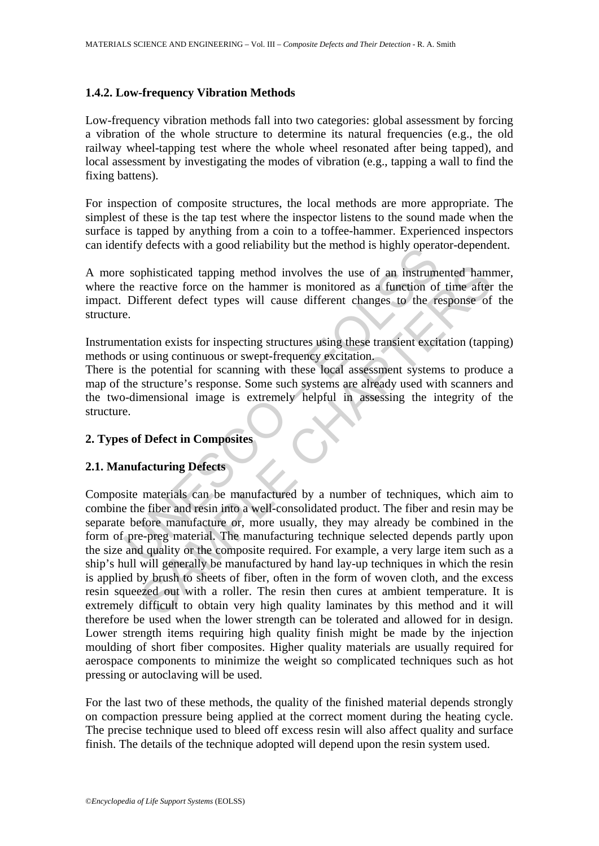## **1.4.2. Low-frequency Vibration Methods**

Low-frequency vibration methods fall into two categories: global assessment by forcing a vibration of the whole structure to determine its natural frequencies (e.g., the old railway wheel-tapping test where the whole wheel resonated after being tapped), and local assessment by investigating the modes of vibration (e.g., tapping a wall to find the fixing battens).

For inspection of composite structures, the local methods are more appropriate. The simplest of these is the tap test where the inspector listens to the sound made when the surface is tapped by anything from a coin to a toffee-hammer. Experienced inspectors can identify defects with a good reliability but the method is highly operator-dependent.

A more sophisticated tapping method involves the use of an instrumented hammer, where the reactive force on the hammer is monitored as a function of time after the impact. Different defect types will cause different changes to the response of the structure.

Instrumentation exists for inspecting structures using these transient excitation (tapping) methods or using continuous or swept-frequency excitation.

There is the potential for scanning with these local assessment systems to produce a map of the structure's response. Some such systems are already used with scanners and the two-dimensional image is extremely helpful in assessing the integrity of the structure.

## **2. Types of Defect in Composites**

## **2.1. Manufacturing Defects**

In the case of the moment of techniques are before mandatured by a number of the mean and quality or the case of the control of Different defect types will cause different changes to the reactive force on the hammer is mon phisticated tapping method involves the use of an instrumented ham<br>reactive force on the hammer is monitored as a function of time after<br>fferent defect types will cause different changes to the response of<br>tation exists fo Composite materials can be manufactured by a number of techniques, which aim to combine the fiber and resin into a well-consolidated product. The fiber and resin may be separate before manufacture or, more usually, they may already be combined in the form of pre-preg material. The manufacturing technique selected depends partly upon the size and quality or the composite required. For example, a very large item such as a ship's hull will generally be manufactured by hand lay-up techniques in which the resin is applied by brush to sheets of fiber, often in the form of woven cloth, and the excess resin squeezed out with a roller. The resin then cures at ambient temperature. It is extremely difficult to obtain very high quality laminates by this method and it will therefore be used when the lower strength can be tolerated and allowed for in design. Lower strength items requiring high quality finish might be made by the injection moulding of short fiber composites. Higher quality materials are usually required for aerospace components to minimize the weight so complicated techniques such as hot pressing or autoclaving will be used.

For the last two of these methods, the quality of the finished material depends strongly on compaction pressure being applied at the correct moment during the heating cycle. The precise technique used to bleed off excess resin will also affect quality and surface finish. The details of the technique adopted will depend upon the resin system used.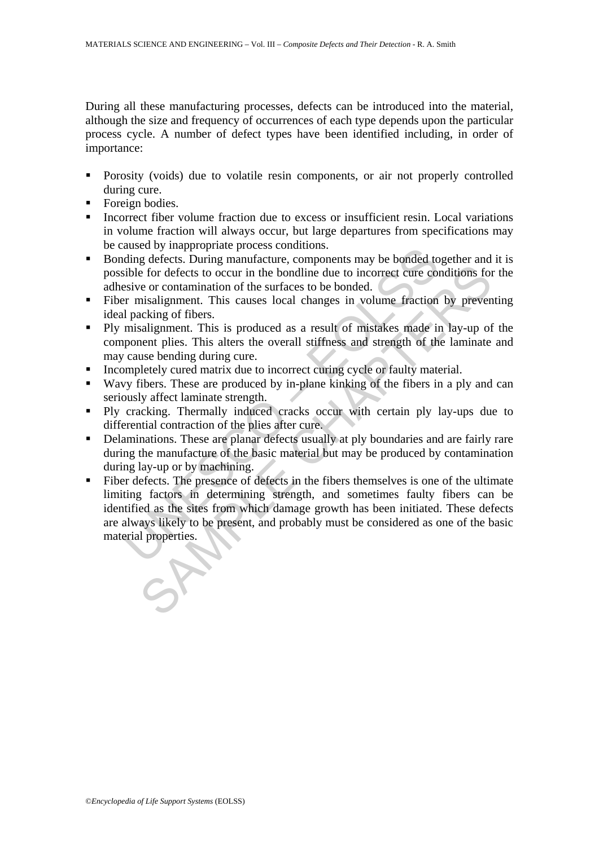During all these manufacturing processes, defects can be introduced into the material, although the size and frequency of occurrences of each type depends upon the particular process cycle. A number of defect types have been identified including, in order of importance:

- **Porosity (voids)** due to volatile resin components, or air not properly controlled during cure.
- Foreign bodies.
- Incorrect fiber volume fraction due to excess or insufficient resin. Local variations in volume fraction will always occur, but large departures from specifications may be caused by inappropriate process conditions.
- Bonding defects. During manufacture, components may be bonded together and it is possible for defects to occur in the bondline due to incorrect cure conditions for the adhesive or contamination of the surfaces to be bonded.
- Fiber misalignment. This causes local changes in volume fraction by preventing ideal packing of fibers.
- Ply misalignment. This is produced as a result of mistakes made in lay-up of the component plies. This alters the overall stiffness and strength of the laminate and may cause bending during cure.
- Incompletely cured matrix due to incorrect curing cycle or faulty material.
- Wavy fibers. These are produced by in-plane kinking of the fibers in a ply and can seriously affect laminate strength.
- Ply cracking. Thermally induced cracks occur with certain ply lay-ups due to differential contraction of the plies after cure.
- Delaminations. These are planar defects usually at ply boundaries and are fairly rare during the manufacture of the basic material but may be produced by contamination during lay-up or by machining.
- alsed by mapply paparal epocess contations.<br>
ding defects. During manufacture, components may be bonded to<br>
ding defects to occur in the bondline due to incorrect cure con-<br>
sive or contamination of the surfaces to be bond is the formulation of the surface and the state of the properties.<br>This properties are or contamination of the surfaces to be bonded.<br>Insignment. This causes local changes in volume fraction by preventing<br>insignment. This Fiber defects. The presence of defects in the fibers themselves is one of the ultimate limiting factors in determining strength, and sometimes faulty fibers can be identified as the sites from which damage growth has been initiated. These defects are always likely to be present, and probably must be considered as one of the basic material properties.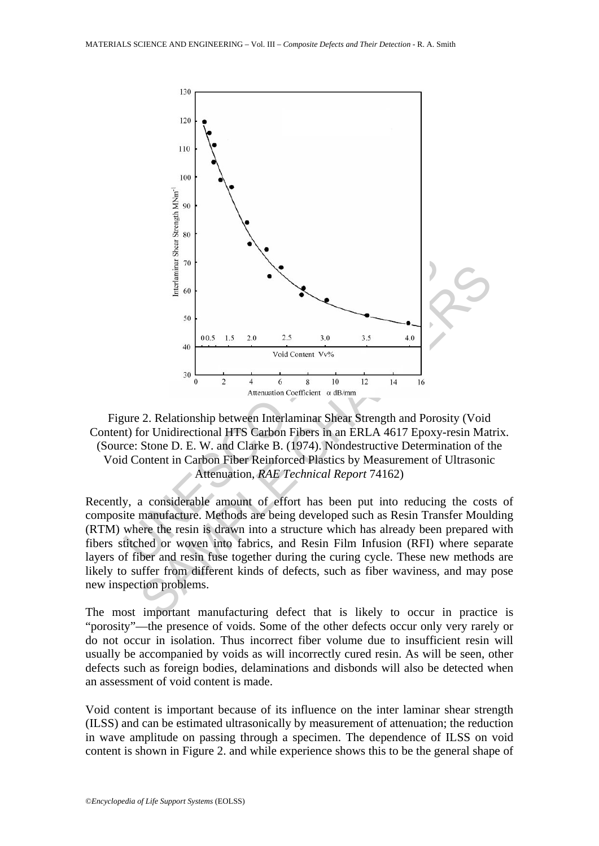

Figure 2. Relationship between Interlaminar Shear Strength and Porosity (Void Content) for Unidirectional HTS Carbon Fibers in an ERLA 4617 Epoxy-resin Matrix. (Source: Stone D. E. W. and Clarke B. (1974). Nondestructive Determination of the Void Content in Carbon Fiber Reinforced Plastics by Measurement of Ultrasonic Attenuation, *RAE Technical Report* 74162)

Recently, a considerable amount of effort has been put into reducing the costs of composite manufacture. Methods are being developed such as Resin Transfer Moulding (RTM) where the resin is drawn into a structure which has already been prepared with fibers stitched or woven into fabrics, and Resin Film Infusion (RFI) where separate layers of fiber and resin fuse together during the curing cycle. These new methods are likely to suffer from different kinds of defects, such as fiber waviness, and may pose new inspection problems.

The most important manufacturing defect that is likely to occur in practice is "porosity"—the presence of voids. Some of the other defects occur only very rarely or do not occur in isolation. Thus incorrect fiber volume due to insufficient resin will usually be accompanied by voids as will incorrectly cured resin. As will be seen, other defects such as foreign bodies, delaminations and disbonds will also be detected when an assessment of void content is made.

Void content is important because of its influence on the inter laminar shear strength (ILSS) and can be estimated ultrasonically by measurement of attenuation; the reduction in wave amplitude on passing through a specimen. The dependence of ILSS on void content is shown in Figure 2. and while experience shows this to be the general shape of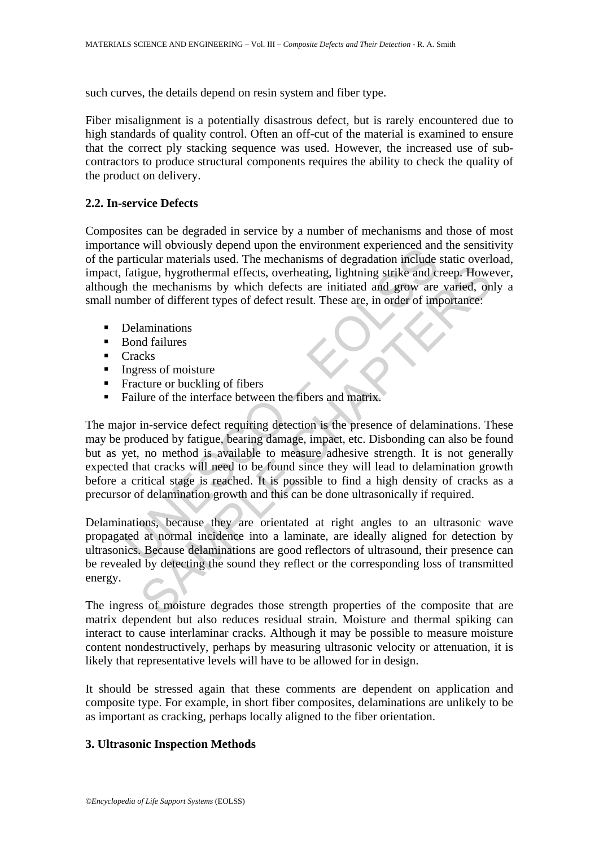such curves, the details depend on resin system and fiber type.

Fiber misalignment is a potentially disastrous defect, but is rarely encountered due to high standards of quality control. Often an off-cut of the material is examined to ensure that the correct ply stacking sequence was used. However, the increased use of subcontractors to produce structural components requires the ability to check the quality of the product on delivery.

## **2.2. In-service Defects**

Composites can be degraded in service by a number of mechanisms and those of most importance will obviously depend upon the environment experienced and the sensitivity of the particular materials used. The mechanisms of degradation include static overload, impact, fatigue, hygrothermal effects, overheating, lightning strike and creep. However, although the mechanisms by which defects are initiated and grow are varied, only a small number of different types of defect result. These are, in order of importance:

- Delaminations
- **Bond failures**
- $\blacksquare$  Cracks
- $\blacksquare$  Ingress of moisture
- Fracture or buckling of fibers
- Failure of the interface between the fibers and matrix.

me window wind the environment expenditual matricular materials used. The mechanisms of degradation include fatigue, hygrothermal effects, overheating, lightning strike and ch<br>tricular materials used. The mechanisms of deg igue, hygrothermal effects, overheating, lightning strike and creep. However mechanisms by which defects are initiated and grow are varied, on<br>er of different types of defect result. These are, in order of importance:<br>amin The major in-service defect requiring detection is the presence of delaminations. These may be produced by fatigue, bearing damage, impact, etc. Disbonding can also be found but as yet, no method is available to measure adhesive strength. It is not generally expected that cracks will need to be found since they will lead to delamination growth before a critical stage is reached. It is possible to find a high density of cracks as a precursor of delamination growth and this can be done ultrasonically if required.

Delaminations, because they are orientated at right angles to an ultrasonic wave propagated at normal incidence into a laminate, are ideally aligned for detection by ultrasonics. Because delaminations are good reflectors of ultrasound, their presence can be revealed by detecting the sound they reflect or the corresponding loss of transmitted energy.

The ingress of moisture degrades those strength properties of the composite that are matrix dependent but also reduces residual strain. Moisture and thermal spiking can interact to cause interlaminar cracks. Although it may be possible to measure moisture content nondestructively, perhaps by measuring ultrasonic velocity or attenuation, it is likely that representative levels will have to be allowed for in design.

It should be stressed again that these comments are dependent on application and composite type. For example, in short fiber composites, delaminations are unlikely to be as important as cracking, perhaps locally aligned to the fiber orientation.

## **3. Ultrasonic Inspection Methods**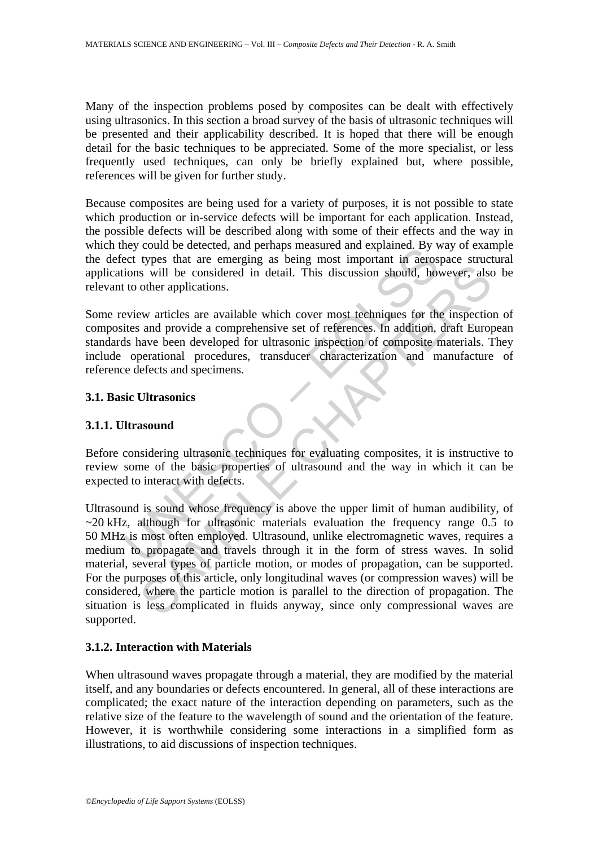Many of the inspection problems posed by composites can be dealt with effectively using ultrasonics. In this section a broad survey of the basis of ultrasonic techniques will be presented and their applicability described. It is hoped that there will be enough detail for the basic techniques to be appreciated. Some of the more specialist, or less frequently used techniques, can only be briefly explained but, where possible, references will be given for further study.

Because composites are being used for a variety of purposes, it is not possible to state which production or in-service defects will be important for each application. Instead, the possible defects will be described along with some of their effects and the way in which they could be detected, and perhaps measured and explained. By way of example the defect types that are emerging as being most important in aerospace structural applications will be considered in detail. This discussion should, however, also be relevant to other applications.

Exploration to tellectect, and perhaps measured and exphanier. By vertices types that are emerging as being most important in acros ions will be considered in detail. This discussion should, how to other applications.<br>
Evi Some review articles are available which cover most techniques for the inspection of composites and provide a comprehensive set of references. In addition, draft European standards have been developed for ultrasonic inspection of composite materials. They include operational procedures, transducer characterization and manufacture of reference defects and specimens.

#### **3.1. Basic Ultrasonics**

#### **3.1.1. Ultrasound**

Before considering ultrasonic techniques for evaluating composites, it is instructive to review some of the basic properties of ultrasound and the way in which it can be expected to interact with defects.

is will be considered in detail. This discussion should, however, also<br>other applications.<br>we articles are available which cover most techniques for the inspectio<br>and provide a comprehensive set of references. In addition, Ultrasound is sound whose frequency is above the upper limit of human audibility, of  $\sim$ 20 kHz, although for ultrasonic materials evaluation the frequency range 0.5 to 50 MHz is most often employed. Ultrasound, unlike electromagnetic waves, requires a medium to propagate and travels through it in the form of stress waves. In solid material, several types of particle motion, or modes of propagation, can be supported. For the purposes of this article, only longitudinal waves (or compression waves) will be considered, where the particle motion is parallel to the direction of propagation. The situation is less complicated in fluids anyway, since only compressional waves are supported.

## **3.1.2. Interaction with Materials**

When ultrasound waves propagate through a material, they are modified by the material itself, and any boundaries or defects encountered. In general, all of these interactions are complicated; the exact nature of the interaction depending on parameters, such as the relative size of the feature to the wavelength of sound and the orientation of the feature. However, it is worthwhile considering some interactions in a simplified form as illustrations, to aid discussions of inspection techniques.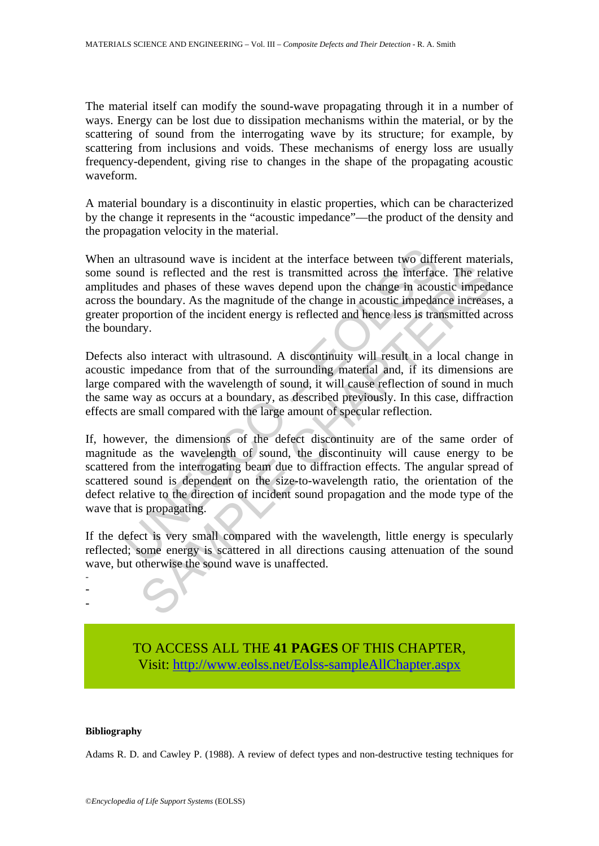The material itself can modify the sound-wave propagating through it in a number of ways. Energy can be lost due to dissipation mechanisms within the material, or by the scattering of sound from the interrogating wave by its structure; for example, by scattering from inclusions and voids. These mechanisms of energy loss are usually frequency-dependent, giving rise to changes in the shape of the propagating acoustic waveform.

A material boundary is a discontinuity in elastic properties, which can be characterized by the change it represents in the "acoustic impedance"—the product of the density and the propagation velocity in the material.

When an ultrasound wave is incident at the interface between two different materials, some sound is reflected and the rest is transmitted across the interface. The relative amplitudes and phases of these waves depend upon the change in acoustic impedance across the boundary. As the magnitude of the change in acoustic impedance increases, a greater proportion of the incident energy is reflected and hence less is transmitted across the boundary.

Defects also interact with ultrasound. A discontinuity will result in a local change in acoustic impedance from that of the surrounding material and, if its dimensions are large compared with the wavelength of sound, it will cause reflection of sound in much the same way as occurs at a boundary, as described previously. In this case, diffraction effects are small compared with the large amount of specular reflection.

In ultrasound wave is incident at the interface between two difformula is reflected and the rest is transmitted across the interface des and phases of these waves depend upon the change in acoustic impedant proportion of t d is reflected and the rest is transmitted across the interface. The related and is reflected and the rest is transmitted across the interface. The related photondary. As the magnitude of the change in acoustic impedance i If, however, the dimensions of the defect discontinuity are of the same order of magnitude as the wavelength of sound, the discontinuity will cause energy to be scattered from the interrogating beam due to diffraction effects. The angular spread of scattered sound is dependent on the size-to-wavelength ratio, the orientation of the defect relative to the direction of incident sound propagation and the mode type of the wave that is propagating.

If the defect is very small compared with the wavelength, little energy is specularly reflected; some energy is scattered in all directions causing attenuation of the sound wave, but otherwise the sound wave is unaffected.



#### **Bibliography**

- - -

Adams R. D. and Cawley P. (1988). A review of defect types and non-destructive testing techniques for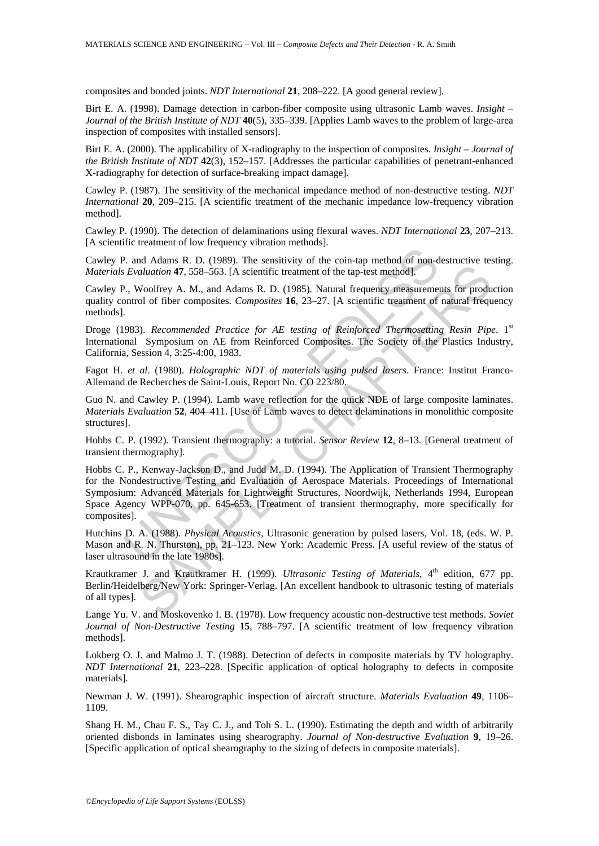composites and bonded joints. *NDT International* **21**, 208–222. [A good general review].

Birt E. A. (1998). Damage detection in carbon-fiber composite using ultrasonic Lamb waves. *Insight – Journal of the British Institute of NDT* **40**(5), 335–339. [Applies Lamb waves to the problem of large-area inspection of composites with installed sensors].

Birt E. A. (2000). The applicability of X-radiography to the inspection of composites. *Insight – Journal of the British Institute of NDT* **42**(3), 152–157. [Addresses the particular capabilities of penetrant-enhanced X-radiography for detection of surface-breaking impact damage].

Cawley P. (1987). The sensitivity of the mechanical impedance method of non-destructive testing. *NDT International* **20**, 209–215. [A scientific treatment of the mechanic impedance low-frequency vibration method].

Cawley P. (1990). The detection of delaminations using flexural waves. *NDT International* **23**, 207–213. [A scientific treatment of low frequency vibration methods].

Cawley P. and Adams R. D. (1989). The sensitivity of the coin-tap method of non-destructive testing. *Materials Evaluation* **47**, 558–563. [A scientific treatment of the tap-test method].

Cawley P., Woolfrey A. M., and Adams R. D. (1985). Natural frequency measurements for production quality control of fiber composites. *Composites* **16**, 23–27. [A scientific treatment of natural frequency methods].

Droge (1983). *Recommended Practice for AE testing of Reinforced Thermosetting Resin Pipe.* 1<sup>st</sup> International Symposium on AE from Reinforced Composites. The Society of the Plastics Industry, California, Session 4, 3:25-4:00, 1983.

Fagot H. *et al*. (1980). *Holographic NDT of materials using pulsed lasers*. France: Institut Franco-Allemand de Recherches de Saint-Louis, Report No. CO 223/80.

Guo N. and Cawley P. (1994). Lamb wave reflection for the quick NDE of large composite laminates. *Materials Evaluation* **52**, 404–411. [Use of Lamb waves to detect delaminations in monolithic composite structures].

Hobbs C. P. (1992). Transient thermography: a tutorial. *Sensor Review* **12**, 8–13. [General treatment of transient thermography].

9. and Adams R. D. (1989). The sensitivity of the coin-tap method of non-d<br> *Evaluation* **47**, 558-563. [A scientific treatment of the tap-test method].<br>
2., Woolfrey A. M., and Adams R. D. (1985). Natural frequency measur or Lateration 47, 558–563. (A scientific treatment of the tap-test method).<br>
Woolfrey A. M., and Adams R. D. (1985). Natural frequency measurements for production 47, 558–563. (A scientific treatment of the tap-test method Hobbs C. P., Kenway-Jackson D., and Judd M. D. (1994). The Application of Transient Thermography for the Nondestructive Testing and Evaluation of Aerospace Materials. Proceedings of International Symposium: Advanced Materials for Lightweight Structures, Noordwijk, Netherlands 1994, European Space Agency WPP-070, pp. 645-653. [Treatment of transient thermography, more specifically for composites].

Hutchins D. A. (1988). *Physical Acoustics*, Ultrasonic generation by pulsed lasers, Vol. 18, (eds. W. P. Mason and R. N. Thurston), pp. 21–123. New York: Academic Press. [A useful review of the status of laser ultrasound in the late 1980s].

Krautkramer J. and Krautkramer H. (1999). *Ultrasonic Testing of Materials*, 4<sup>th</sup> edition, 677 pp. Berlin/Heidelberg/New York: Springer-Verlag. [An excellent handbook to ultrasonic testing of materials of all types].

Lange Yu. V. and Moskovenko I. B. (1978). Low frequency acoustic non-destructive test methods. *Soviet Journal of Non-Destructive Testing* **15**, 788–797. [A scientific treatment of low frequency vibration methods].

Lokberg O. J. and Malmo J. T. (1988). Detection of defects in composite materials by TV holography. *NDT International* **21**, 223–228. [Specific application of optical holography to defects in composite materials].

Newman J. W. (1991). Shearographic inspection of aircraft structure. *Materials Evaluation* **49**, 1106– 1109.

Shang H. M., Chau F. S., Tay C. J., and Toh S. L. (1990). Estimating the depth and width of arbitrarily oriented disbonds in laminates using shearography. *Journal of Non-destructive Evaluation* **9**, 19–26. [Specific application of optical shearography to the sizing of defects in composite materials].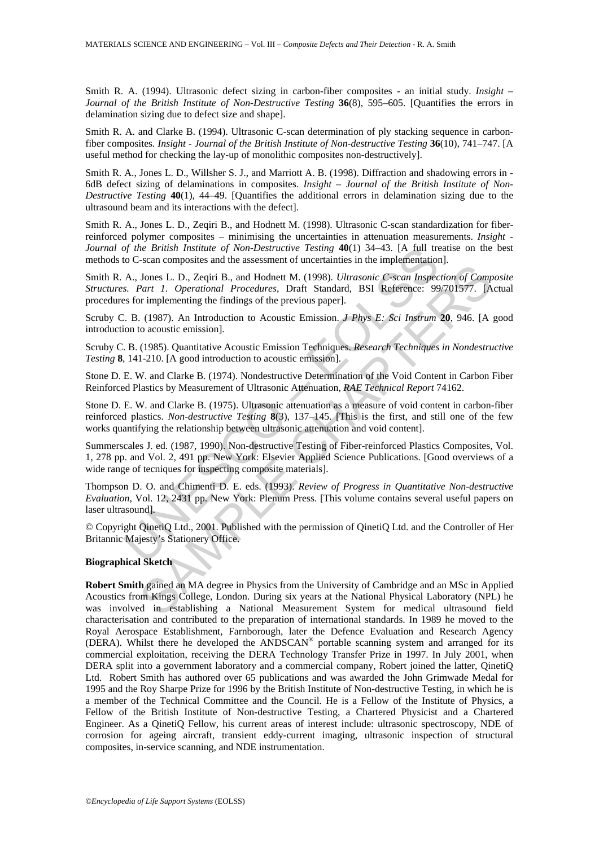Smith R. A. (1994). Ultrasonic defect sizing in carbon-fiber composites - an initial study. *Insight – Journal of the British Institute of Non-Destructive Testing* **36**(8), 595–605. [Quantifies the errors in delamination sizing due to defect size and shape].

Smith R. A. and Clarke B. (1994). Ultrasonic C-scan determination of ply stacking sequence in carbonfiber composites*. Insight - Journal of the British Institute of Non-destructive Testing* **36**(10), 741–747. [A useful method for checking the lay-up of monolithic composites non-destructively].

Smith R. A., Jones L. D., Willsher S. J., and Marriott A. B. (1998). Diffraction and shadowing errors in - 6dB defect sizing of delaminations in composites. *Insight – Journal of the British Institute of Non-Destructive Testing* **40**(1), 44–49. [Quantifies the additional errors in delamination sizing due to the ultrasound beam and its interactions with the defect].

Smith R. A., Jones L. D., Zeqiri B., and Hodnett M. (1998). Ultrasonic C-scan standardization for fiberreinforced polymer composites – minimising the uncertainties in attenuation measurements. *Insight - Journal of the British Institute of Non-Destructive Testing* **40**(1) 34–43. [A full treatise on the best methods to C-scan composites and the assessment of uncertainties in the implementation].

of the British Institute of Non-Destructive Testing 40(1) 34–43. [A full treat<br>C-scan composites and the assessment of uncertainties in the implementation<br>A., Jones L. D., Zeqiri B., and Hodnett M. (1998). *Ultrasonic C-s* Smith R. A., Jones L. D., Zeqiri B., and Hodnett M. (1998). *Ultrasonic C-scan Inspection of Composite Structures. Part 1. Operational Procedures*, Draft Standard, BSI Reference: 99/701577. [Actual procedures for implementing the findings of the previous paper].

Scruby C. B. (1987). An Introduction to Acoustic Emission. *J Phys E: Sci Instrum* **20**, 946. [A good introduction to acoustic emission].

Scruby C. B. (1985). Quantitative Acoustic Emission Techniques. *Research Techniques in Nondestructive Testing* **8**, 141-210. [A good introduction to acoustic emission].

Stone D. E. W. and Clarke B. (1974). Nondestructive Determination of the Void Content in Carbon Fiber Reinforced Plastics by Measurement of Ultrasonic Attenuation, *RAE Technical Report* 74162.

Stone D. E. W. and Clarke B. (1975). Ultrasonic attenuation as a measure of void content in carbon-fiber reinforced plastics. *Non-destructive Testing* **8**(3), 137–145. [This is the first, and still one of the few works quantifying the relationship between ultrasonic attenuation and void content].

Summerscales J. ed. (1987, 1990). Non-destructive Testing of Fiber-reinforced Plastics Composites, Vol. 1, 278 pp. and Vol. 2, 491 pp. New York: Elsevier Applied Science Publications. [Good overviews of a wide range of tecniques for inspecting composite materials].

Thompson D. O. and Chimenti D. E. eds. (1993). *Review of Progress in Quantitative Non-destructive Evaluation*, Vol. 12, 2431 pp. New York: Plenum Press. [This volume contains several useful papers on laser ultrasound].

© Copyright QinetiQ Ltd., 2001. Published with the permission of QinetiQ Ltd. and the Controller of Her Britannic Majesty's Stationery Office.

#### **Biographical Sketch**

Jones L. D., Zeqiri B., and Hodnett M. (1998). *Ultrasonic C-sean Inspection of Compart 1. Operational Procedures*, Draft Standard, BSI Reference: 99/701577. [A (1998). *Ultrasonic C-sean Inspection of Compart 1. Operation* **Robert Smith** gained an MA degree in Physics from the University of Cambridge and an MSc in Applied Acoustics from Kings College, London. During six years at the National Physical Laboratory (NPL) he was involved in establishing a National Measurement System for medical ultrasound field characterisation and contributed to the preparation of international standards. In 1989 he moved to the Royal Aerospace Establishment, Farnborough, later the Defence Evaluation and Research Agency (DERA). Whilst there he developed the ANDSCAN® portable scanning system and arranged for its commercial exploitation, receiving the DERA Technology Transfer Prize in 1997. In July 2001, when DERA split into a government laboratory and a commercial company, Robert joined the latter, OinetiO Ltd. Robert Smith has authored over 65 publications and was awarded the John Grimwade Medal for 1995 and the Roy Sharpe Prize for 1996 by the British Institute of Non-destructive Testing, in which he is a member of the Technical Committee and the Council. He is a Fellow of the Institute of Physics, a Fellow of the British Institute of Non-destructive Testing, a Chartered Physicist and a Chartered Engineer. As a QinetiQ Fellow, his current areas of interest include: ultrasonic spectroscopy, NDE of corrosion for ageing aircraft, transient eddy-current imaging, ultrasonic inspection of structural composites, in-service scanning, and NDE instrumentation.